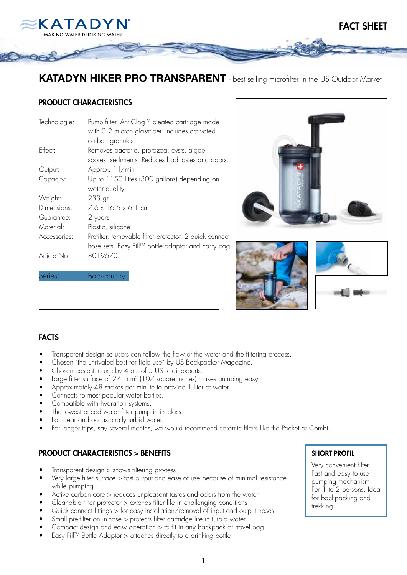

KATADYN HIKER PRO TRANSPARENT - best selling microfilter in the US Outdoor Market

## PRODUCT CHARACTERISTICS

Series: **Backcountry** 

| Technologie: | Pump filter, AntiClog™ pleated cartridge made<br>with 0.2 micron glassfiber. Includes activated<br>carbon granules |
|--------------|--------------------------------------------------------------------------------------------------------------------|
| Effect:      | Removes bacteria, protozoa, cysts, algae,<br>spores, sediments. Reduces bad tastes and odors.                      |
| Output:      | Approx. 1 / min                                                                                                    |
| Capacity:    | Up to 1150 litres (300 gallons) depending on<br>water quality                                                      |
| Weight:      | 233 <sub>gr</sub>                                                                                                  |
| Dimensions:  | $7,6 \times 16,5 \times 6,1$ cm                                                                                    |
| Guarantee:   | 2 years                                                                                                            |
| Material:    | Plastic, silicone                                                                                                  |
| Accessories: | Prefilter, removable filter protector, 2 quick connect<br>hose sets, Easy Fill™ bottle adaptor and carry bag       |
| Article No.: | 8019670                                                                                                            |



### FACTS

- Transparent design so users can follow the flow of the water and the filtering process.
- Chosen "the unrivaled best for field use" by US Backpacker Magazine.
- Chosen easiest to use by 4 out of 5 US retail experts.
- Large filter surface of 271 cm<sup>2</sup> (107 square inches) makes pumping easy.
- Approximately 48 strokes per minute to provide 1 liter of water.
- Connects to most popular water bottles.
- Compatible with hydration systems.
- The lowest priced water filter pump in its class.
- For clear and occasionally turbid water.
- For longer trips, say several months, we would recommend ceramic filters like the Pocket or Combi.

# PRODUCT CHARACTERISTICS > BENEFITS

- $Transparent$  design  $>$  shows filtering process
- Very large filter surface  $>$  fast output and ease of use because of minimal resistance while pumping
- Active carbon core  $>$  reduces unpleasant tastes and odors from the water
- Cleanable filter protector > extends filter life in challenging conditions
- Quick connect fittings > for easy installation/removal of input and output hoses
- Small pre-filter on in-hose > protects filter cartridge life in turbid water
- Compact design and easy operation  $>$  to fit in any backpack or travel bag
- Easy Fill<sup>TM</sup> Bottle Adaptor  $>$  attaches directly to a drinking bottle

#### SHORT PROFIL

 Very convenient filter. Fast and easy to use pumping mechanism. For 1 to 2 persons. Ideal for backpacking and trekking.